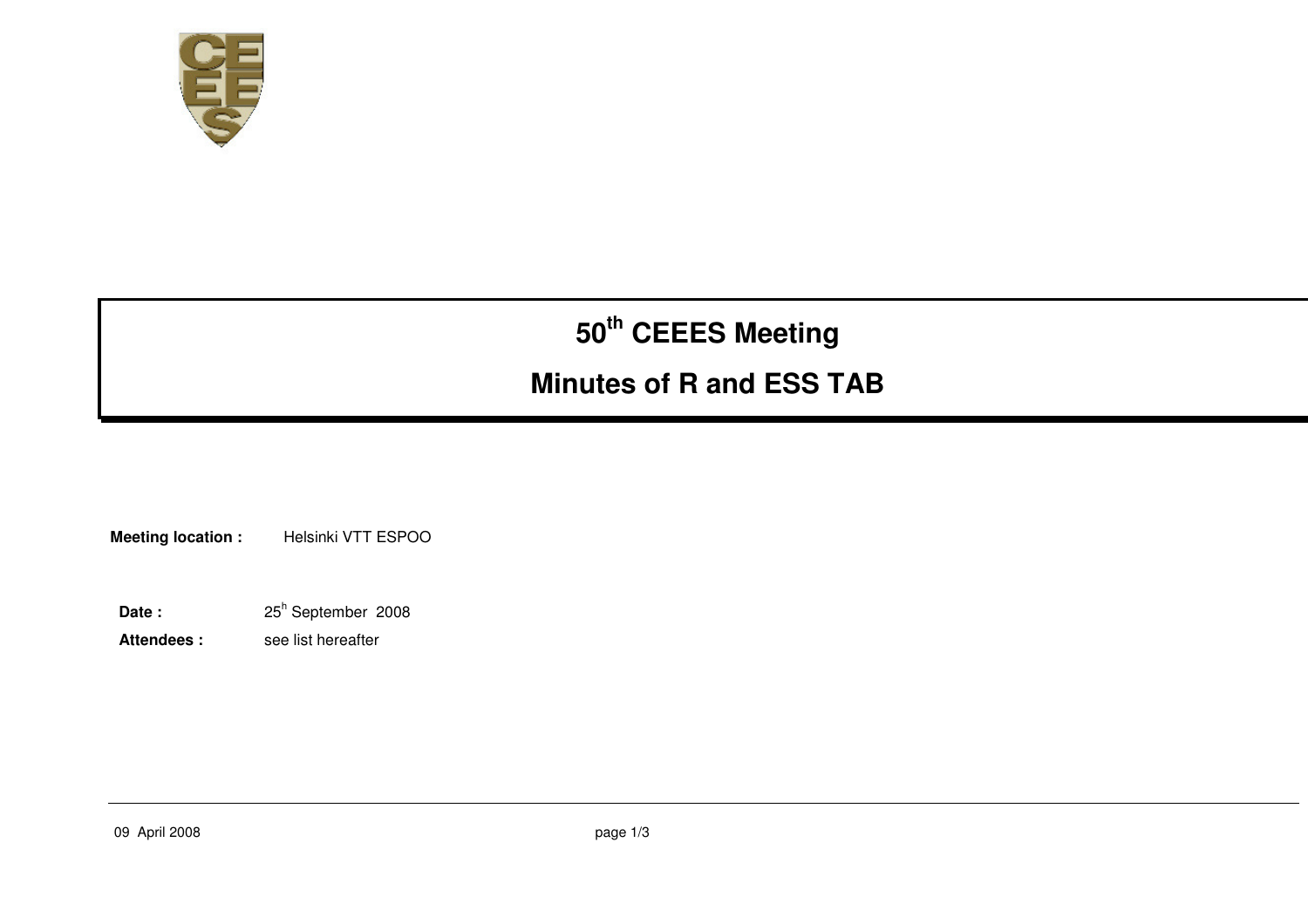

# **50th CEEES Meeting**

# **Minutes of R and ESS TAB**

**Meeting location :** Helsinki VTT ESPOO

Date : 25<sup>h</sup> September 2008

Attendees : see list hereafter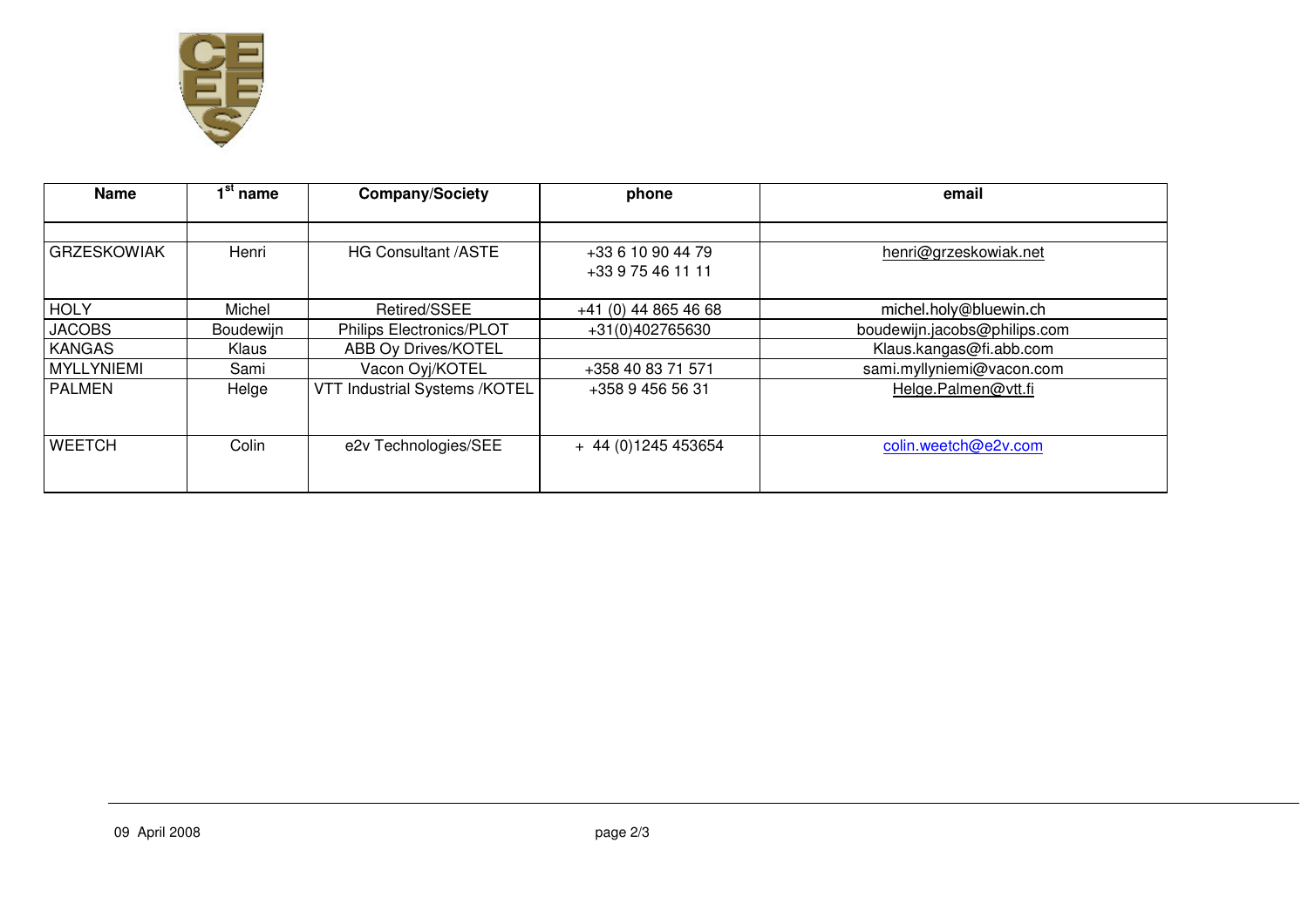

| <b>Name</b>        | $\overline{1}^{\text{st}}$ name | <b>Company/Society</b>        | phone                                  | email                        |
|--------------------|---------------------------------|-------------------------------|----------------------------------------|------------------------------|
|                    |                                 |                               |                                        |                              |
| <b>GRZESKOWIAK</b> | Henri                           | <b>HG Consultant /ASTE</b>    | +33 6 10 90 44 79<br>+33 9 75 46 11 11 | henri@grzeskowiak.net        |
| <b>HOLY</b>        | Michel                          | Retired/SSEE                  | +41 (0) 44 865 46 68                   | michel.holy@bluewin.ch       |
| <b>JACOBS</b>      | Boudewijn                       | Philips Electronics/PLOT      | +31(0)402765630                        | boudewijn.jacobs@philips.com |
| <b>KANGAS</b>      | Klaus                           | ABB Oy Drives/KOTEL           |                                        | Klaus.kangas@fi.abb.com      |
| MYLLYNIEMI         | Sami                            | Vacon Oyj/KOTEL               | +358 40 83 71 571                      | sami.myllyniemi@vacon.com    |
| l PALMEN           | Helge                           | VTT Industrial Systems /KOTEL | +358 9 456 56 31                       | Helge.Palmen@vtt.fi          |
| <b>WEETCH</b>      | Colin                           | e2v Technologies/SEE          | + 44 (0) 1245 453654                   | colin.weetch@e2v.com         |